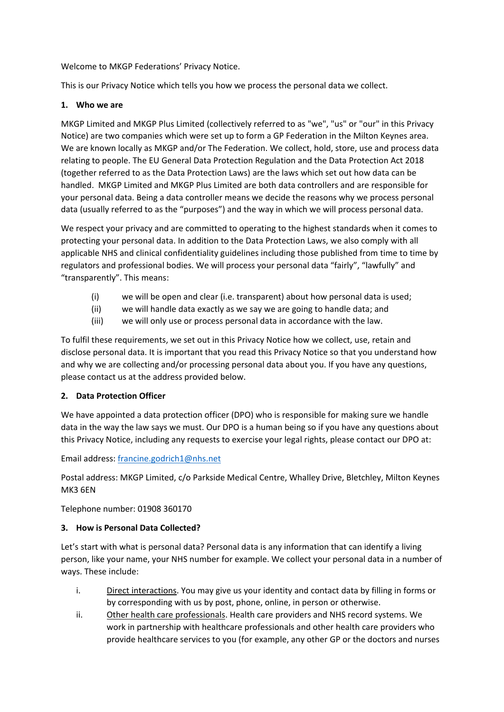Welcome to MKGP Federations' Privacy Notice.

This is our Privacy Notice which tells you how we process the personal data we collect.

## **1. Who we are**

MKGP Limited and MKGP Plus Limited (collectively referred to as "we", "us" or "our" in this Privacy Notice) are two companies which were set up to form a GP Federation in the Milton Keynes area. We are known locally as MKGP and/or The Federation. We collect, hold, store, use and process data relating to people. The EU General Data Protection Regulation and the Data Protection Act 2018 (together referred to as the Data Protection Laws) are the laws which set out how data can be handled. MKGP Limited and MKGP Plus Limited are both data controllers and are responsible for your personal data. Being a data controller means we decide the reasons why we process personal data (usually referred to as the "purposes") and the way in which we will process personal data.

We respect your privacy and are committed to operating to the highest standards when it comes to protecting your personal data. In addition to the Data Protection Laws, we also comply with all applicable NHS and clinical confidentiality guidelines including those published from time to time by regulators and professional bodies. We will process your personal data "fairly", "lawfully" and "transparently". This means:

- (i) we will be open and clear (i.e. transparent) about how personal data is used;
- (ii) we will handle data exactly as we say we are going to handle data; and
- (iii) we will only use or process personal data in accordance with the law.

To fulfil these requirements, we set out in this Privacy Notice how we collect, use, retain and disclose personal data. It is important that you read this Privacy Notice so that you understand how and why we are collecting and/or processing personal data about you. If you have any questions, please contact us at the address provided below.

# **2. Data Protection Officer**

We have appointed a data protection officer (DPO) who is responsible for making sure we handle data in the way the law says we must. Our DPO is a human being so if you have any questions about this Privacy Notice, including any requests to exercise your legal rights, please contact our DPO at:

Email address: [francine.godrich1@nhs.net](mailto:francine.godrich1@nhs.net)

Postal address: MKGP Limited, c/o Parkside Medical Centre, Whalley Drive, Bletchley, Milton Keynes MK3 6EN

Telephone number: 01908 360170

# **3. How is Personal Data Collected?**

Let's start with what is personal data? Personal data is any information that can identify a living person, like your name, your NHS number for example. We collect your personal data in a number of ways. These include:

- i. Direct interactions. You may give us your identity and contact data by filling in forms or by corresponding with us by post, phone, online, in person or otherwise.
- ii. Other health care professionals. Health care providers and NHS record systems. We work in partnership with healthcare professionals and other health care providers who provide healthcare services to you (for example, any other GP or the doctors and nurses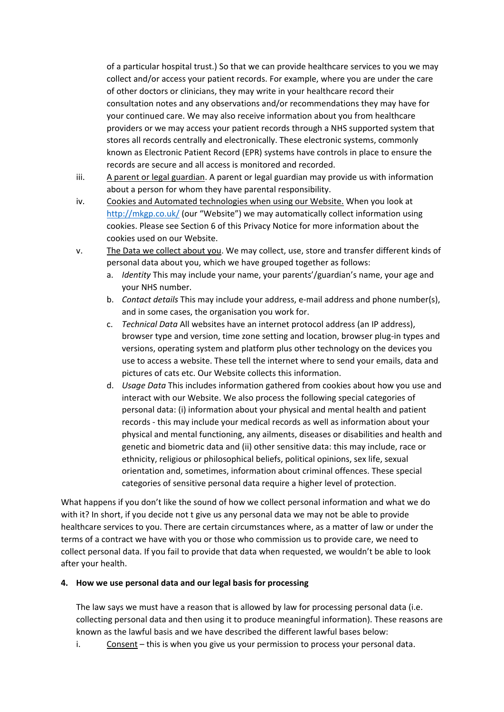of a particular hospital trust.) So that we can provide healthcare services to you we may collect and/or access your patient records. For example, where you are under the care of other doctors or clinicians, they may write in your healthcare record their consultation notes and any observations and/or recommendations they may have for your continued care. We may also receive information about you from healthcare providers or we may access your patient records through a NHS supported system that stores all records centrally and electronically. These electronic systems, commonly known as Electronic Patient Record (EPR) systems have controls in place to ensure the records are secure and all access is monitored and recorded.

- iii. A parent or legal guardian. A parent or legal guardian may provide us with information about a person for whom they have parental responsibility.
- iv. Cookies and Automated technologies when using our Website. When you look at <http://mkgp.co.uk/> (our "Website") we may automatically collect information using cookies. Please see Section 6 of this Privacy Notice for more information about the cookies used on our Website.
- v. The Data we collect about you. We may collect, use, store and transfer different kinds of personal data about you, which we have grouped together as follows:
	- a. *Identity* This may include your name, your parents'/guardian's name, your age and your NHS number.
	- b. *Contact details* This may include your address, e-mail address and phone number(s), and in some cases, the organisation you work for.
	- c. *Technical Data* All websites have an internet protocol address (an IP address), browser type and version, time zone setting and location, browser plug-in types and versions, operating system and platform plus other technology on the devices you use to access a website. These tell the internet where to send your emails, data and pictures of cats etc. Our Website collects this information.
	- d. *Usage Data* This includes information gathered from cookies about how you use and interact with our Website. We also process the following special categories of personal data: (i) information about your physical and mental health and patient records - this may include your medical records as well as information about your physical and mental functioning, any ailments, diseases or disabilities and health and genetic and biometric data and (ii) other sensitive data: this may include, race or ethnicity, religious or philosophical beliefs, political opinions, sex life, sexual orientation and, sometimes, information about criminal offences. These special categories of sensitive personal data require a higher level of protection.

What happens if you don't like the sound of how we collect personal information and what we do with it? In short, if you decide not t give us any personal data we may not be able to provide healthcare services to you. There are certain circumstances where, as a matter of law or under the terms of a contract we have with you or those who commission us to provide care, we need to collect personal data. If you fail to provide that data when requested, we wouldn't be able to look after your health.

#### **4. How we use personal data and our legal basis for processing**

The law says we must have a reason that is allowed by law for processing personal data (i.e. collecting personal data and then using it to produce meaningful information). These reasons are known as the lawful basis and we have described the different lawful bases below:

i. Consent – this is when you give us your permission to process your personal data.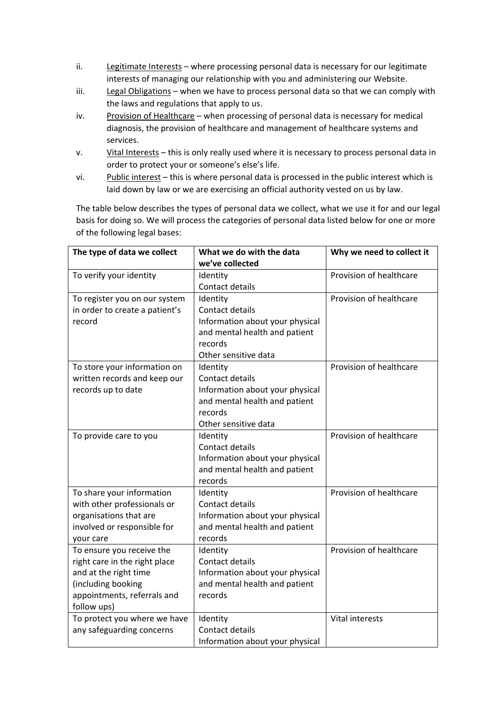- ii. Legitimate Interests where processing personal data is necessary for our legitimate interests of managing our relationship with you and administering our Website.
- iii. Legal Obligations when we have to process personal data so that we can comply with the laws and regulations that apply to us.
- iv. Provision of Healthcare when processing of personal data is necessary for medical diagnosis, the provision of healthcare and management of healthcare systems and services.
- v. Vital Interests this is only really used where it is necessary to process personal data in order to protect your or someone's else's life.
- vi. Public interest this is where personal data is processed in the public interest which is laid down by law or we are exercising an official authority vested on us by law.

The table below describes the types of personal data we collect, what we use it for and our legal basis for doing so. We will process the categories of personal data listed below for one or more of the following legal bases:

| The type of data we collect    | What we do with the data        | Why we need to collect it |
|--------------------------------|---------------------------------|---------------------------|
|                                | we've collected                 |                           |
| To verify your identity        | Identity                        | Provision of healthcare   |
|                                | Contact details                 |                           |
| To register you on our system  | Identity                        | Provision of healthcare   |
| in order to create a patient's | <b>Contact details</b>          |                           |
| record                         | Information about your physical |                           |
|                                | and mental health and patient   |                           |
|                                | records                         |                           |
|                                | Other sensitive data            |                           |
| To store your information on   | Identity                        | Provision of healthcare   |
| written records and keep our   | Contact details                 |                           |
| records up to date             | Information about your physical |                           |
|                                | and mental health and patient   |                           |
|                                | records                         |                           |
|                                | Other sensitive data            |                           |
| To provide care to you         | Identity                        | Provision of healthcare   |
|                                | <b>Contact details</b>          |                           |
|                                | Information about your physical |                           |
|                                | and mental health and patient   |                           |
|                                | records                         |                           |
| To share your information      | Identity                        | Provision of healthcare   |
| with other professionals or    | Contact details                 |                           |
| organisations that are         | Information about your physical |                           |
| involved or responsible for    | and mental health and patient   |                           |
| your care                      | records                         |                           |
| To ensure you receive the      | Identity                        | Provision of healthcare   |
| right care in the right place  | Contact details                 |                           |
| and at the right time          | Information about your physical |                           |
| (including booking             | and mental health and patient   |                           |
| appointments, referrals and    | records                         |                           |
| follow ups)                    |                                 |                           |
| To protect you where we have   | Identity                        | Vital interests           |
| any safeguarding concerns      | Contact details                 |                           |
|                                | Information about your physical |                           |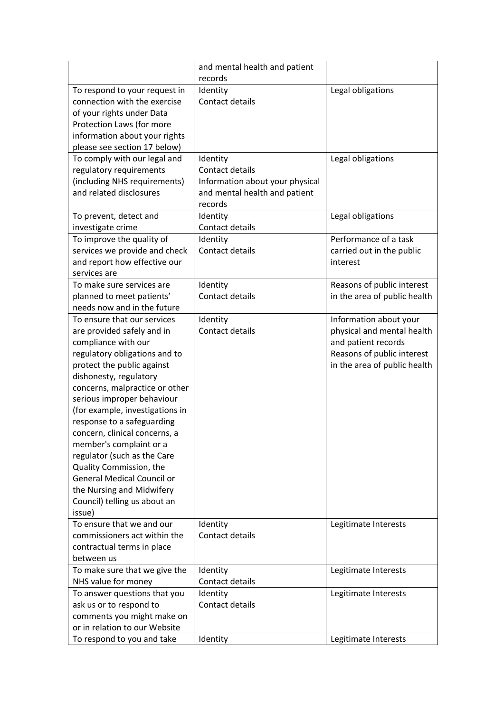|                                                          | and mental health and patient   |                                                      |
|----------------------------------------------------------|---------------------------------|------------------------------------------------------|
|                                                          | records                         |                                                      |
| To respond to your request in                            | Identity                        | Legal obligations                                    |
| connection with the exercise                             | Contact details                 |                                                      |
| of your rights under Data                                |                                 |                                                      |
| Protection Laws (for more                                |                                 |                                                      |
| information about your rights                            |                                 |                                                      |
| please see section 17 below)                             |                                 |                                                      |
| To comply with our legal and                             | Identity                        | Legal obligations                                    |
| regulatory requirements                                  | Contact details                 |                                                      |
| (including NHS requirements)                             | Information about your physical |                                                      |
| and related disclosures                                  | and mental health and patient   |                                                      |
|                                                          | records                         |                                                      |
| To prevent, detect and                                   | Identity                        | Legal obligations                                    |
| investigate crime                                        | Contact details                 |                                                      |
| To improve the quality of                                | Identity                        | Performance of a task                                |
| services we provide and check                            | Contact details                 | carried out in the public                            |
| and report how effective our                             |                                 | interest                                             |
| services are                                             |                                 |                                                      |
| To make sure services are                                | Identity<br>Contact details     | Reasons of public interest                           |
| planned to meet patients'<br>needs now and in the future |                                 | in the area of public health                         |
| To ensure that our services                              |                                 |                                                      |
| are provided safely and in                               | Identity<br>Contact details     | Information about your<br>physical and mental health |
| compliance with our                                      |                                 | and patient records                                  |
| regulatory obligations and to                            |                                 | Reasons of public interest                           |
| protect the public against                               |                                 | in the area of public health                         |
| dishonesty, regulatory                                   |                                 |                                                      |
| concerns, malpractice or other                           |                                 |                                                      |
| serious improper behaviour                               |                                 |                                                      |
| (for example, investigations in                          |                                 |                                                      |
| response to a safeguarding                               |                                 |                                                      |
| concern, clinical concerns, a                            |                                 |                                                      |
| member's complaint or a                                  |                                 |                                                      |
| regulator (such as the Care                              |                                 |                                                      |
| Quality Commission, the                                  |                                 |                                                      |
| <b>General Medical Council or</b>                        |                                 |                                                      |
| the Nursing and Midwifery                                |                                 |                                                      |
| Council) telling us about an                             |                                 |                                                      |
| issue)                                                   |                                 |                                                      |
| To ensure that we and our                                | Identity                        | Legitimate Interests                                 |
| commissioners act within the                             | Contact details                 |                                                      |
| contractual terms in place                               |                                 |                                                      |
| between us                                               |                                 |                                                      |
| To make sure that we give the                            | Identity                        | Legitimate Interests                                 |
| NHS value for money                                      | Contact details                 |                                                      |
| To answer questions that you                             | Identity                        | Legitimate Interests                                 |
| ask us or to respond to                                  | Contact details                 |                                                      |
| comments you might make on                               |                                 |                                                      |
| or in relation to our Website                            |                                 |                                                      |
| To respond to you and take                               | Identity                        | Legitimate Interests                                 |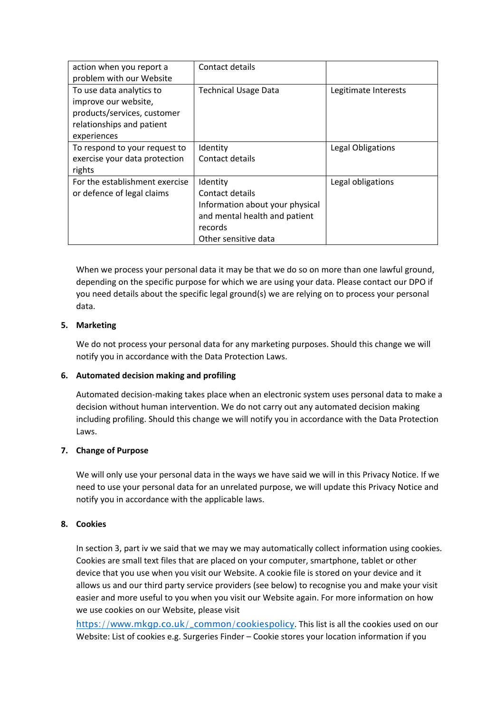| action when you report a       | Contact details                 |                      |
|--------------------------------|---------------------------------|----------------------|
| problem with our Website       |                                 |                      |
| To use data analytics to       | <b>Technical Usage Data</b>     | Legitimate Interests |
| improve our website,           |                                 |                      |
| products/services, customer    |                                 |                      |
| relationships and patient      |                                 |                      |
| experiences                    |                                 |                      |
| To respond to your request to  | Identity                        | Legal Obligations    |
| exercise your data protection  | Contact details                 |                      |
| rights                         |                                 |                      |
| For the establishment exercise | Identity                        | Legal obligations    |
| or defence of legal claims     | Contact details                 |                      |
|                                | Information about your physical |                      |
|                                | and mental health and patient   |                      |
|                                | records                         |                      |
|                                | Other sensitive data            |                      |

When we process your personal data it may be that we do so on more than one lawful ground, depending on the specific purpose for which we are using your data. Please contact our DPO if you need details about the specific legal ground(s) we are relying on to process your personal data.

### **5. Marketing**

We do not process your personal data for any marketing purposes. Should this change we will notify you in accordance with the Data Protection Laws.

#### **6. Automated decision making and profiling**

Automated decision-making takes place when an electronic system uses personal data to make a decision without human intervention. We do not carry out any automated decision making including profiling. Should this change we will notify you in accordance with the Data Protection Laws.

#### **7. Change of Purpose**

We will only use your personal data in the ways we have said we will in this Privacy Notice. If we need to use your personal data for an unrelated purpose, we will update this Privacy Notice and notify you in accordance with the applicable laws.

#### **8. Cookies**

In section 3, part iv we said that we may we may automatically collect information using cookies. Cookies are small text files that are placed on your computer, smartphone, tablet or other device that you use when you visit our Website. A cookie file is stored on your device and it allows us and our third party service providers (see below) to recognise you and make your visit easier and more useful to you when you visit our Website again. For more information on how we use cookies on our Website, please visit

[https://www.mkgp.co.uk/\\_common/cookiespolicy](https://www.mkgp.co.uk/_common/cookiespolicy). This list is all the cookies used on our Website: List of cookies e.g. Surgeries Finder – Cookie stores your location information if you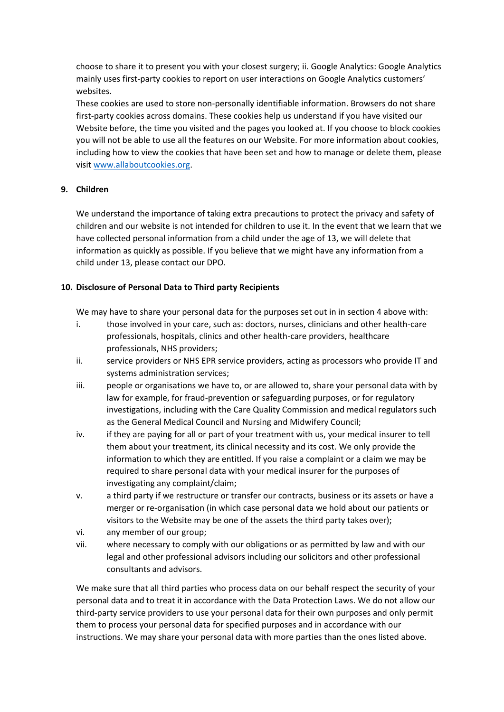choose to share it to present you with your closest surgery; ii. Google Analytics: Google Analytics mainly uses first-party cookies to report on user interactions on Google Analytics customers' websites.

These cookies are used to store non-personally identifiable information. Browsers do not share first-party cookies across domains. These cookies help us understand if you have visited our Website before, the time you visited and the pages you looked at. If you choose to block cookies you will not be able to use all the features on our Website. For more information about cookies, including how to view the cookies that have been set and how to manage or delete them, please visi[t www.allaboutcookies.org.](http://www.allaboutcookies.org/)

## **9. Children**

We understand the importance of taking extra precautions to protect the privacy and safety of children and our website is not intended for children to use it. In the event that we learn that we have collected personal information from a child under the age of 13, we will delete that information as quickly as possible. If you believe that we might have any information from a child under 13, please contact our DPO.

### **10. Disclosure of Personal Data to Third party Recipients**

We may have to share your personal data for the purposes set out in in section 4 above with:

- i. those involved in your care, such as: doctors, nurses, clinicians and other health-care professionals, hospitals, clinics and other health-care providers, healthcare professionals, NHS providers;
- ii. service providers or NHS EPR service providers, acting as processors who provide IT and systems administration services;
- iii. people or organisations we have to, or are allowed to, share your personal data with by law for example, for fraud-prevention or safeguarding purposes, or for regulatory investigations, including with the Care Quality Commission and medical regulators such as the General Medical Council and Nursing and Midwifery Council;
- iv. if they are paying for all or part of your treatment with us, your medical insurer to tell them about your treatment, its clinical necessity and its cost. We only provide the information to which they are entitled. If you raise a complaint or a claim we may be required to share personal data with your medical insurer for the purposes of investigating any complaint/claim;
- v. a third party if we restructure or transfer our contracts, business or its assets or have a merger or re-organisation (in which case personal data we hold about our patients or visitors to the Website may be one of the assets the third party takes over);
- vi. any member of our group;
- vii. where necessary to comply with our obligations or as permitted by law and with our legal and other professional advisors including our solicitors and other professional consultants and advisors.

We make sure that all third parties who process data on our behalf respect the security of your personal data and to treat it in accordance with the Data Protection Laws. We do not allow our third-party service providers to use your personal data for their own purposes and only permit them to process your personal data for specified purposes and in accordance with our instructions. We may share your personal data with more parties than the ones listed above.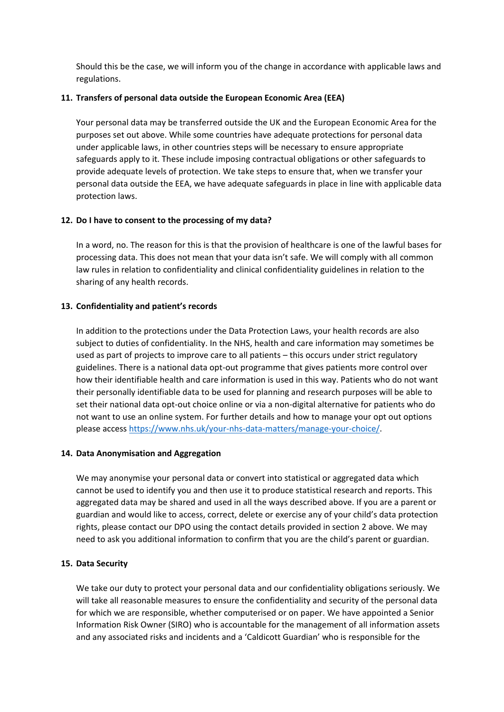Should this be the case, we will inform you of the change in accordance with applicable laws and regulations.

### **11. Transfers of personal data outside the European Economic Area (EEA)**

Your personal data may be transferred outside the UK and the European Economic Area for the purposes set out above. While some countries have adequate protections for personal data under applicable laws, in other countries steps will be necessary to ensure appropriate safeguards apply to it. These include imposing contractual obligations or other safeguards to provide adequate levels of protection. We take steps to ensure that, when we transfer your personal data outside the EEA, we have adequate safeguards in place in line with applicable data protection laws.

### **12. Do I have to consent to the processing of my data?**

In a word, no. The reason for this is that the provision of healthcare is one of the lawful bases for processing data. This does not mean that your data isn't safe. We will comply with all common law rules in relation to confidentiality and clinical confidentiality guidelines in relation to the sharing of any health records.

### **13. Confidentiality and patient's records**

In addition to the protections under the Data Protection Laws, your health records are also subject to duties of confidentiality. In the NHS, health and care information may sometimes be used as part of projects to improve care to all patients – this occurs under strict regulatory guidelines. There is a national data opt-out programme that gives patients more control over how their identifiable health and care information is used in this way. Patients who do not want their personally identifiable data to be used for planning and research purposes will be able to set their national data opt-out choice online or via a non-digital alternative for patients who do not want to use an online system. For further details and how to manage your opt out options please access [https://www.nhs.uk/your-nhs-data-matters/manage-your-choice/.](https://www.nhs.uk/your-nhs-data-matters/manage-your-choice/)

#### **14. Data Anonymisation and Aggregation**

We may anonymise your personal data or convert into statistical or aggregated data which cannot be used to identify you and then use it to produce statistical research and reports. This aggregated data may be shared and used in all the ways described above. If you are a parent or guardian and would like to access, correct, delete or exercise any of your child's data protection rights, please contact our DPO using the contact details provided in section 2 above. We may need to ask you additional information to confirm that you are the child's parent or guardian.

#### **15. Data Security**

We take our duty to protect your personal data and our confidentiality obligations seriously. We will take all reasonable measures to ensure the confidentiality and security of the personal data for which we are responsible, whether computerised or on paper. We have appointed a Senior Information Risk Owner (SIRO) who is accountable for the management of all information assets and any associated risks and incidents and a 'Caldicott Guardian' who is responsible for the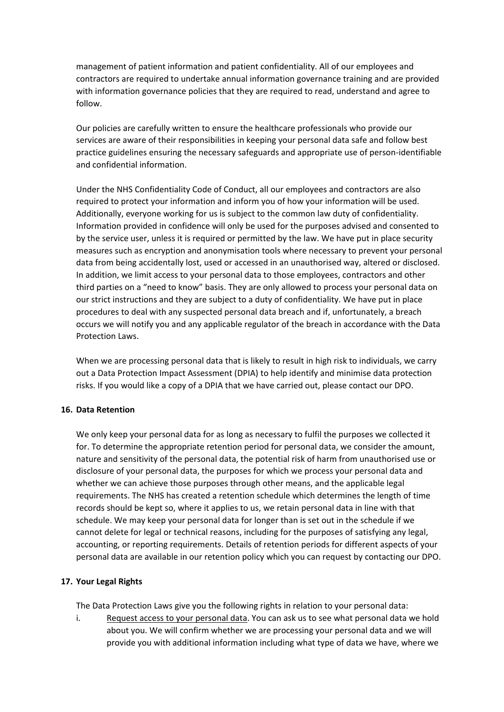management of patient information and patient confidentiality. All of our employees and contractors are required to undertake annual information governance training and are provided with information governance policies that they are required to read, understand and agree to follow.

Our policies are carefully written to ensure the healthcare professionals who provide our services are aware of their responsibilities in keeping your personal data safe and follow best practice guidelines ensuring the necessary safeguards and appropriate use of person-identifiable and confidential information.

Under the NHS Confidentiality Code of Conduct, all our employees and contractors are also required to protect your information and inform you of how your information will be used. Additionally, everyone working for us is subject to the common law duty of confidentiality. Information provided in confidence will only be used for the purposes advised and consented to by the service user, unless it is required or permitted by the law. We have put in place security measures such as encryption and anonymisation tools where necessary to prevent your personal data from being accidentally lost, used or accessed in an unauthorised way, altered or disclosed. In addition, we limit access to your personal data to those employees, contractors and other third parties on a "need to know" basis. They are only allowed to process your personal data on our strict instructions and they are subject to a duty of confidentiality. We have put in place procedures to deal with any suspected personal data breach and if, unfortunately, a breach occurs we will notify you and any applicable regulator of the breach in accordance with the Data Protection Laws.

When we are processing personal data that is likely to result in high risk to individuals, we carry out a Data Protection Impact Assessment (DPIA) to help identify and minimise data protection risks. If you would like a copy of a DPIA that we have carried out, please contact our DPO.

#### **16. Data Retention**

We only keep your personal data for as long as necessary to fulfil the purposes we collected it for. To determine the appropriate retention period for personal data, we consider the amount, nature and sensitivity of the personal data, the potential risk of harm from unauthorised use or disclosure of your personal data, the purposes for which we process your personal data and whether we can achieve those purposes through other means, and the applicable legal requirements. The NHS has created a retention schedule which determines the length of time records should be kept so, where it applies to us, we retain personal data in line with that schedule. We may keep your personal data for longer than is set out in the schedule if we cannot delete for legal or technical reasons, including for the purposes of satisfying any legal, accounting, or reporting requirements. Details of retention periods for different aspects of your personal data are available in our retention policy which you can request by contacting our DPO.

#### **17. Your Legal Rights**

The Data Protection Laws give you the following rights in relation to your personal data:

i. Request access to your personal data. You can ask us to see what personal data we hold about you. We will confirm whether we are processing your personal data and we will provide you with additional information including what type of data we have, where we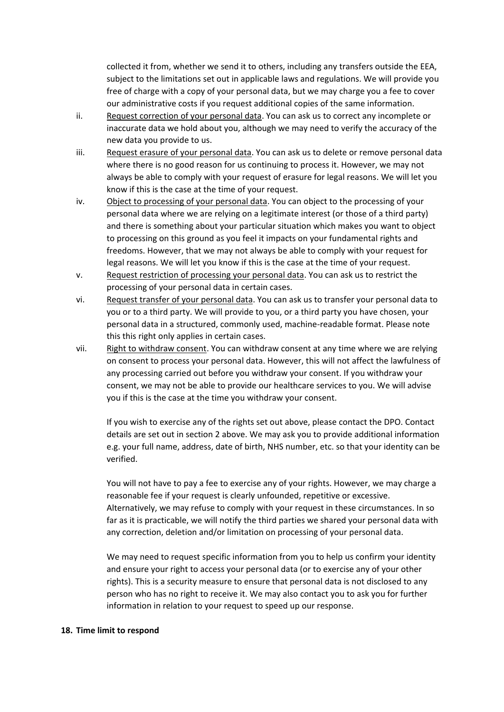collected it from, whether we send it to others, including any transfers outside the EEA, subject to the limitations set out in applicable laws and regulations. We will provide you free of charge with a copy of your personal data, but we may charge you a fee to cover our administrative costs if you request additional copies of the same information.

- ii. Request correction of your personal data. You can ask us to correct any incomplete or inaccurate data we hold about you, although we may need to verify the accuracy of the new data you provide to us.
- iii. Request erasure of your personal data. You can ask us to delete or remove personal data where there is no good reason for us continuing to process it. However, we may not always be able to comply with your request of erasure for legal reasons. We will let you know if this is the case at the time of your request.
- iv. Object to processing of your personal data. You can object to the processing of your personal data where we are relying on a legitimate interest (or those of a third party) and there is something about your particular situation which makes you want to object to processing on this ground as you feel it impacts on your fundamental rights and freedoms. However, that we may not always be able to comply with your request for legal reasons. We will let you know if this is the case at the time of your request.
- v. Request restriction of processing your personal data. You can ask us to restrict the processing of your personal data in certain cases.
- vi. Request transfer of your personal data. You can ask us to transfer your personal data to you or to a third party. We will provide to you, or a third party you have chosen, your personal data in a structured, commonly used, machine-readable format. Please note this this right only applies in certain cases.
- vii. Right to withdraw consent. You can withdraw consent at any time where we are relying on consent to process your personal data. However, this will not affect the lawfulness of any processing carried out before you withdraw your consent. If you withdraw your consent, we may not be able to provide our healthcare services to you. We will advise you if this is the case at the time you withdraw your consent.

If you wish to exercise any of the rights set out above, please contact the DPO. Contact details are set out in section 2 above. We may ask you to provide additional information e.g. your full name, address, date of birth, NHS number, etc. so that your identity can be verified.

You will not have to pay a fee to exercise any of your rights. However, we may charge a reasonable fee if your request is clearly unfounded, repetitive or excessive. Alternatively, we may refuse to comply with your request in these circumstances. In so far as it is practicable, we will notify the third parties we shared your personal data with any correction, deletion and/or limitation on processing of your personal data.

We may need to request specific information from you to help us confirm your identity and ensure your right to access your personal data (or to exercise any of your other rights). This is a security measure to ensure that personal data is not disclosed to any person who has no right to receive it. We may also contact you to ask you for further information in relation to your request to speed up our response.

#### **18. Time limit to respond**